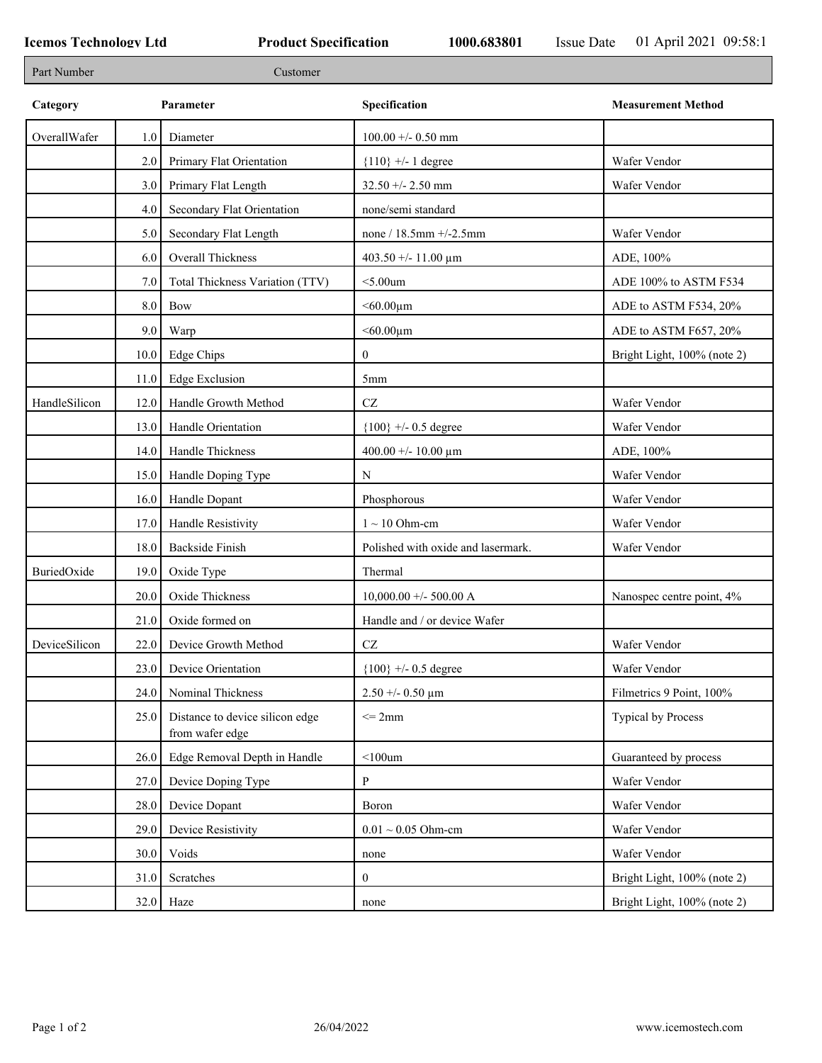٦

| Part Number   |      | Customer                                           |                                    |                             |
|---------------|------|----------------------------------------------------|------------------------------------|-----------------------------|
| Category      |      | Parameter                                          | Specification                      | <b>Measurement Method</b>   |
| OverallWafer  | 1.0  | Diameter                                           | $100.00 +/- 0.50$ mm               |                             |
|               | 2.0  | Primary Flat Orientation                           | ${110}$ +/- 1 degree               | Wafer Vendor                |
|               | 3.0  | Primary Flat Length                                | $32.50 + - 2.50$ mm                | Wafer Vendor                |
|               | 4.0  | Secondary Flat Orientation                         | none/semi standard                 |                             |
|               | 5.0  | Secondary Flat Length                              | none / $18.5$ mm $+/-2.5$ mm       | Wafer Vendor                |
|               | 6.0  | Overall Thickness                                  | 403.50 +/- 11.00 $\mu$ m           | ADE, 100%                   |
|               | 7.0  | Total Thickness Variation (TTV)                    | $<$ 5.00 $um$                      | ADE 100% to ASTM F534       |
|               | 8.0  | Bow                                                | $< 60.00 \mu m$                    | ADE to ASTM F534, 20%       |
|               | 9.0  | Warp                                               | $< 60.00 \mu m$                    | ADE to ASTM F657, 20%       |
|               | 10.0 | Edge Chips                                         | $\boldsymbol{0}$                   | Bright Light, 100% (note 2) |
|               | 11.0 | <b>Edge Exclusion</b>                              | 5 <sub>mm</sub>                    |                             |
| HandleSilicon | 12.0 | Handle Growth Method                               | $\operatorname{CZ}$                | Wafer Vendor                |
|               | 13.0 | Handle Orientation                                 | ${100}$ +/- 0.5 degree             | Wafer Vendor                |
|               | 14.0 | Handle Thickness                                   | 400.00 +/- 10.00 $\mu$ m           | ADE, 100%                   |
|               | 15.0 | Handle Doping Type                                 | N                                  | Wafer Vendor                |
|               | 16.0 | Handle Dopant                                      | Phosphorous                        | Wafer Vendor                |
|               | 17.0 | Handle Resistivity                                 | $1 \sim 10$ Ohm-cm                 | Wafer Vendor                |
|               | 18.0 | <b>Backside Finish</b>                             | Polished with oxide and lasermark. | Wafer Vendor                |
| BuriedOxide   | 19.0 | Oxide Type                                         | Thermal                            |                             |
|               | 20.0 | Oxide Thickness                                    | $10,000.00 + -500.00$ A            | Nanospec centre point, 4%   |
|               | 21.0 | Oxide formed on                                    | Handle and / or device Wafer       |                             |
| DeviceSilicon | 22.0 | Device Growth Method                               | $\operatorname{CZ}$                | Wafer Vendor                |
|               | 23.0 | Device Orientation                                 | ${100}$ +/- 0.5 degree             | Wafer Vendor                |
|               | 24.0 | Nominal Thickness                                  | $2.50 + -0.50 \mu m$               | Filmetrics 9 Point, 100%    |
|               | 25.0 | Distance to device silicon edge<br>from wafer edge | $\leq$ 2mm                         | <b>Typical by Process</b>   |
|               | 26.0 | Edge Removal Depth in Handle                       | $<$ 100 $um$                       | Guaranteed by process       |
|               | 27.0 | Device Doping Type                                 | $\mathbf{P}$                       | Wafer Vendor                |
|               | 28.0 | Device Dopant                                      | Boron                              | Wafer Vendor                |
|               | 29.0 | Device Resistivity                                 | $0.01 \sim 0.05$ Ohm-cm            | Wafer Vendor                |
|               | 30.0 | Voids                                              | none                               | Wafer Vendor                |
|               | 31.0 | Scratches                                          | $\mathbf{0}$                       | Bright Light, 100% (note 2) |
|               |      | $32.0$ Haze                                        | none                               | Bright Light, 100% (note 2) |